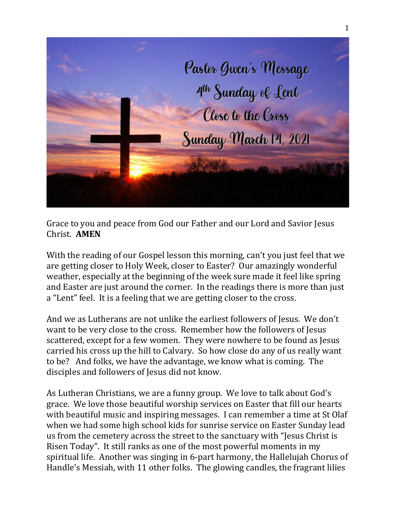

Grace to you and peace from God our Father and our Lord and Savior Jesus Christ. **AMEN**

With the reading of our Gospel lesson this morning, can't you just feel that we are getting closer to Holy Week, closer to Easter? Our amazingly wonderful weather, especially at the beginning of the week sure made it feel like spring and Easter are just around the corner. In the readings there is more than just a "Lent" feel. It is a feeling that we are getting closer to the cross.

And we as Lutherans are not unlike the earliest followers of Jesus. We don't want to be very close to the cross. Remember how the followers of Jesus scattered, except for a few women. They were nowhere to be found as Jesus carried his cross up the hill to Calvary. So how close do any of us really want to be? And folks, we have the advantage, we know what is coming. The disciples and followers of Jesus did not know.

As Lutheran Christians, we are a funny group. We love to talk about God's grace. We love those beautiful worship services on Easter that fill our hearts with beautiful music and inspiring messages. I can remember a time at St Olaf when we had some high school kids for sunrise service on Easter Sunday lead us from the cemetery across the street to the sanctuary with "Jesus Christ is Risen Today". It still ranks as one of the most powerful moments in my spiritual life. Another was singing in 6-part harmony, the Hallelujah Chorus of Handle's Messiah, with 11 other folks. The glowing candles, the fragrant lilies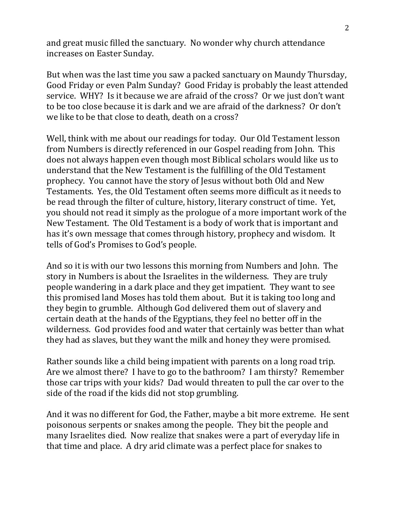and great music filled the sanctuary. No wonder why church attendance increases on Easter Sunday.

But when was the last time you saw a packed sanctuary on Maundy Thursday, Good Friday or even Palm Sunday? Good Friday is probably the least attended service. WHY? Is it because we are afraid of the cross? Or we just don't want to be too close because it is dark and we are afraid of the darkness? Or don't we like to be that close to death, death on a cross?

Well, think with me about our readings for today. Our Old Testament lesson from Numbers is directly referenced in our Gospel reading from John. This does not always happen even though most Biblical scholars would like us to understand that the New Testament is the fulfilling of the Old Testament prophecy. You cannot have the story of Jesus without both Old and New Testaments. Yes, the Old Testament often seems more difficult as it needs to be read through the filter of culture, history, literary construct of time. Yet, you should not read it simply as the prologue of a more important work of the New Testament. The Old Testament is a body of work that is important and has it's own message that comes through history, prophecy and wisdom. It tells of God's Promises to God's people.

And so it is with our two lessons this morning from Numbers and John. The story in Numbers is about the Israelites in the wilderness. They are truly people wandering in a dark place and they get impatient. They want to see this promised land Moses has told them about. But it is taking too long and they begin to grumble. Although God delivered them out of slavery and certain death at the hands of the Egyptians, they feel no better off in the wilderness. God provides food and water that certainly was better than what they had as slaves, but they want the milk and honey they were promised.

Rather sounds like a child being impatient with parents on a long road trip. Are we almost there? I have to go to the bathroom? I am thirsty? Remember those car trips with your kids? Dad would threaten to pull the car over to the side of the road if the kids did not stop grumbling.

And it was no different for God, the Father, maybe a bit more extreme. He sent poisonous serpents or snakes among the people. They bit the people and many Israelites died. Now realize that snakes were a part of everyday life in that time and place. A dry arid climate was a perfect place for snakes to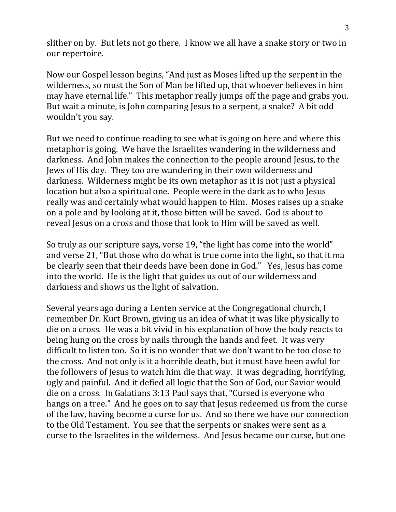slither on by. But lets not go there. I know we all have a snake story or two in our repertoire.

Now our Gospel lesson begins, "And just as Moses lifted up the serpent in the wilderness, so must the Son of Man be lifted up, that whoever believes in him may have eternal life." This metaphor really jumps off the page and grabs you. But wait a minute, is John comparing Jesus to a serpent, a snake? A bit odd wouldn't you say.

But we need to continue reading to see what is going on here and where this metaphor is going. We have the Israelites wandering in the wilderness and darkness. And John makes the connection to the people around Jesus, to the Jews of His day. They too are wandering in their own wilderness and darkness. Wilderness might be its own metaphor as it is not just a physical location but also a spiritual one. People were in the dark as to who Jesus really was and certainly what would happen to Him. Moses raises up a snake on a pole and by looking at it, those bitten will be saved. God is about to reveal Jesus on a cross and those that look to Him will be saved as well.

So truly as our scripture says, verse 19, "the light has come into the world" and verse 21, "But those who do what is true come into the light, so that it ma be clearly seen that their deeds have been done in God." Yes, Jesus has come into the world. He is the light that guides us out of our wilderness and darkness and shows us the light of salvation.

Several years ago during a Lenten service at the Congregational church, I remember Dr. Kurt Brown, giving us an idea of what it was like physically to die on a cross. He was a bit vivid in his explanation of how the body reacts to being hung on the cross by nails through the hands and feet. It was very difficult to listen too. So it is no wonder that we don't want to be too close to the cross. And not only is it a horrible death, but it must have been awful for the followers of Jesus to watch him die that way. It was degrading, horrifying, ugly and painful. And it defied all logic that the Son of God, our Savior would die on a cross. In Galatians 3:13 Paul says that, "Cursed is everyone who hangs on a tree." And he goes on to say that Jesus redeemed us from the curse of the law, having become a curse for us. And so there we have our connection to the Old Testament. You see that the serpents or snakes were sent as a curse to the Israelites in the wilderness. And Jesus became our curse, but one